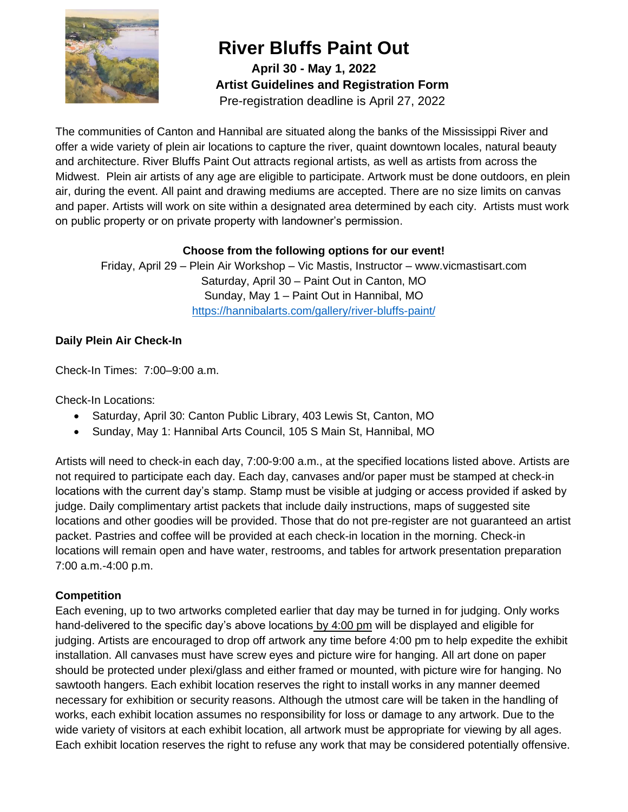

**April 30 - May 1, 2022 Artist Guidelines and Registration Form** Pre-registration deadline is April 27, 2022

The communities of Canton and Hannibal are situated along the banks of the Mississippi River and offer a wide variety of plein air locations to capture the river, quaint downtown locales, natural beauty and architecture. River Bluffs Paint Out attracts regional artists, as well as artists from across the Midwest. Plein air artists of any age are eligible to participate. Artwork must be done outdoors, en plein air, during the event. All paint and drawing mediums are accepted. There are no size limits on canvas and paper. Artists will work on site within a designated area determined by each city. Artists must work on public property or on private property with landowner's permission.

## **Choose from the following options for our event!**

Friday, April 29 – Plein Air Workshop – Vic Mastis, Instructor – www.vicmastisart.com Saturday, April 30 – Paint Out in Canton, MO Sunday, May 1 – Paint Out in Hannibal, MO <https://hannibalarts.com/gallery/river-bluffs-paint/>

## **Daily Plein Air Check-In**

Check-In Times: 7:00–9:00 a.m.

Check-In Locations:

- Saturday, April 30: Canton Public Library, 403 Lewis St, Canton, MO
- Sunday, May 1: Hannibal Arts Council, 105 S Main St, Hannibal, MO

Artists will need to check-in each day, 7:00-9:00 a.m., at the specified locations listed above. Artists are not required to participate each day. Each day, canvases and/or paper must be stamped at check-in locations with the current day's stamp. Stamp must be visible at judging or access provided if asked by judge. Daily complimentary artist packets that include daily instructions, maps of suggested site locations and other goodies will be provided. Those that do not pre-register are not guaranteed an artist packet. Pastries and coffee will be provided at each check-in location in the morning. Check-in locations will remain open and have water, restrooms, and tables for artwork presentation preparation 7:00 a.m.-4:00 p.m.

## **Competition**

Each evening, up to two artworks completed earlier that day may be turned in for judging. Only works hand-delivered to the specific day's above locations by 4:00 pm will be displayed and eligible for judging. Artists are encouraged to drop off artwork any time before 4:00 pm to help expedite the exhibit installation. All canvases must have screw eyes and picture wire for hanging. All art done on paper should be protected under plexi/glass and either framed or mounted, with picture wire for hanging. No sawtooth hangers. Each exhibit location reserves the right to install works in any manner deemed necessary for exhibition or security reasons. Although the utmost care will be taken in the handling of works, each exhibit location assumes no responsibility for loss or damage to any artwork. Due to the wide variety of visitors at each exhibit location, all artwork must be appropriate for viewing by all ages. Each exhibit location reserves the right to refuse any work that may be considered potentially offensive.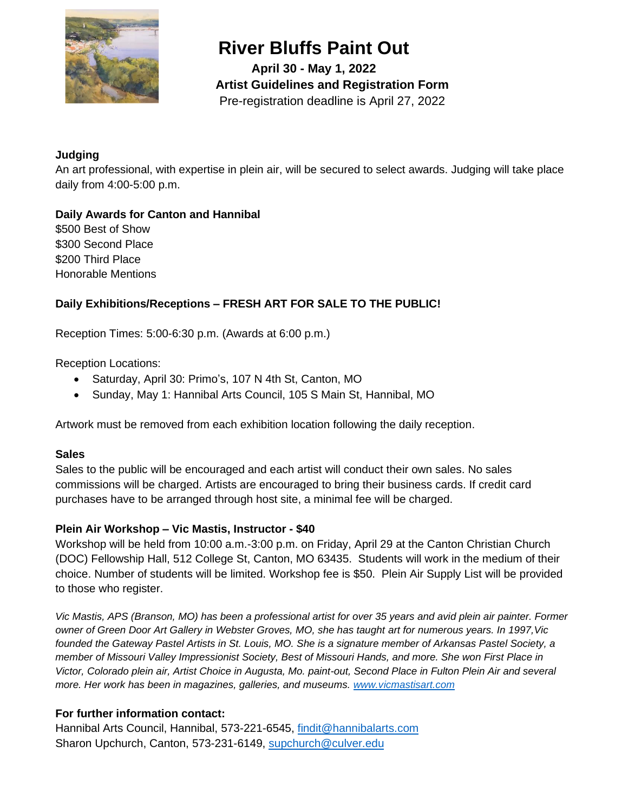

**April 30 - May 1, 2022 Artist Guidelines and Registration Form** Pre-registration deadline is April 27, 2022

#### **Judging**

An art professional, with expertise in plein air, will be secured to select awards. Judging will take place daily from 4:00-5:00 p.m.

# **Daily Awards for Canton and Hannibal**  \$500 Best of Show

\$300 Second Place \$200 Third Place Honorable Mentions

# **Daily Exhibitions/Receptions – FRESH ART FOR SALE TO THE PUBLIC!**

Reception Times: 5:00-6:30 p.m. (Awards at 6:00 p.m.)

Reception Locations:

- Saturday, April 30: Primo's, 107 N 4th St, Canton, MO
- Sunday, May 1: Hannibal Arts Council, 105 S Main St, Hannibal, MO

Artwork must be removed from each exhibition location following the daily reception.

#### **Sales**

Sales to the public will be encouraged and each artist will conduct their own sales. No sales commissions will be charged. Artists are encouraged to bring their business cards. If credit card purchases have to be arranged through host site, a minimal fee will be charged.

## **Plein Air Workshop – Vic Mastis, Instructor - \$40**

Workshop will be held from 10:00 a.m.-3:00 p.m. on Friday, April 29 at the Canton Christian Church (DOC) Fellowship Hall, 512 College St, Canton, MO 63435. Students will work in the medium of their choice. Number of students will be limited. Workshop fee is \$50. Plein Air Supply List will be provided to those who register.

*Vic Mastis, APS (Branson, MO) has been a professional artist for over 35 years and avid plein air painter. Former owner of Green Door Art Gallery in Webster Groves, MO, she has taught art for numerous years. In 1997,Vic founded the Gateway Pastel Artists in St. Louis, MO. She is a signature member of Arkansas Pastel Society, a member of Missouri Valley Impressionist Society, Best of Missouri Hands, and more. She won First Place in Victor, Colorado plein air, Artist Choice in Augusta, Mo. paint-out, Second Place in Fulton Plein Air and several more. Her work has been in magazines, galleries, and museums. [www.vicmastisart.com](http://www.vicmastisart.com/)*

## **For further information contact:**

Hannibal Arts Council, Hannibal, 573-221-6545, [findit@hannibalarts.com](mailto:findit@hannibalarts.com) Sharon Upchurch, Canton, 573-231-6149, [supchurch@culver.edu](mailto:supchurch@culver.edu)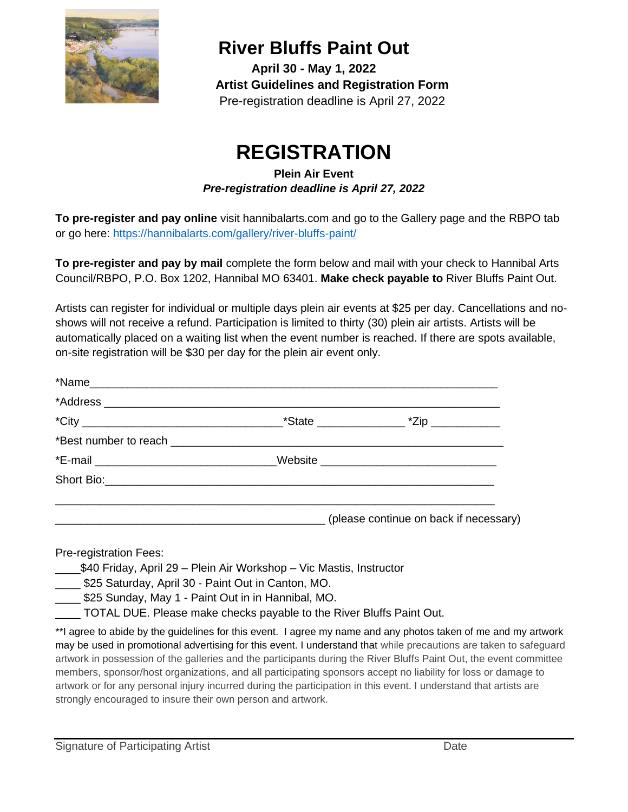

**April 30 - May 1, 2022 Artist Guidelines and Registration Form** Pre-registration deadline is April 27, 2022

# **REGISTRATION**

# **Plein Air Event**  *Pre-registration deadline is April 27, 2022*

**To pre-register and pay online** visit hannibalarts.com and go to the Gallery page and the RBPO tab or go here:<https://hannibalarts.com/gallery/river-bluffs-paint/>

**To pre-register and pay by mail** complete the form below and mail with your check to Hannibal Arts Council/RBPO, P.O. Box 1202, Hannibal MO 63401. **Make check payable to** River Bluffs Paint Out.

Artists can register for individual or multiple days plein air events at \$25 per day. Cancellations and noshows will not receive a refund. Participation is limited to thirty (30) plein air artists. Artists will be automatically placed on a waiting list when the event number is reached. If there are spots available, on-site registration will be \$30 per day for the plein air event only.

| *E-mail _________________________________Website _______________________________ |  |
|----------------------------------------------------------------------------------|--|
|                                                                                  |  |
|                                                                                  |  |
| (please continue on back if necessary)                                           |  |

Pre-registration Fees:

- \_\_\_\_\$40 Friday, April 29 Plein Air Workshop Vic Mastis, Instructor
- \$25 Saturday, April 30 Paint Out in Canton, MO.
- \$25 Sunday, May 1 Paint Out in in Hannibal, MO.
- \_ TOTAL DUE. Please make checks payable to the River Bluffs Paint Out.

\*\*I agree to abide by the guidelines for this event. I agree my name and any photos taken of me and my artwork may be used in promotional advertising for this event. I understand that while precautions are taken to safeguard artwork in possession of the galleries and the participants during the River Bluffs Paint Out, the event committee members, sponsor/host organizations, and all participating sponsors accept no liability for loss or damage to artwork or for any personal injury incurred during the participation in this event. I understand that artists are strongly encouraged to insure their own person and artwork.